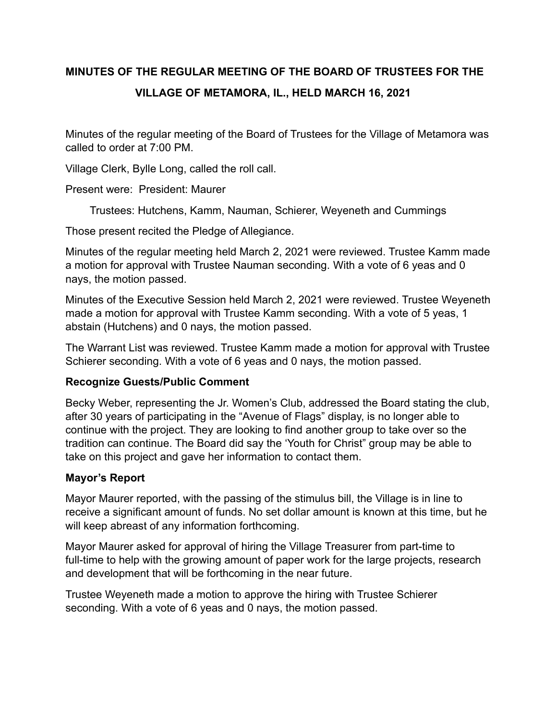# **MINUTES OF THE REGULAR MEETING OF THE BOARD OF TRUSTEES FOR THE VILLAGE OF METAMORA, IL., HELD MARCH 16, 2021**

Minutes of the regular meeting of the Board of Trustees for the Village of Metamora was called to order at 7:00 PM.

Village Clerk, Bylle Long, called the roll call.

Present were: President: Maurer

Trustees: Hutchens, Kamm, Nauman, Schierer, Weyeneth and Cummings

Those present recited the Pledge of Allegiance.

Minutes of the regular meeting held March 2, 2021 were reviewed. Trustee Kamm made a motion for approval with Trustee Nauman seconding. With a vote of 6 yeas and 0 nays, the motion passed.

Minutes of the Executive Session held March 2, 2021 were reviewed. Trustee Weyeneth made a motion for approval with Trustee Kamm seconding. With a vote of 5 yeas, 1 abstain (Hutchens) and 0 nays, the motion passed.

The Warrant List was reviewed. Trustee Kamm made a motion for approval with Trustee Schierer seconding. With a vote of 6 yeas and 0 nays, the motion passed.

# **Recognize Guests/Public Comment**

Becky Weber, representing the Jr. Women's Club, addressed the Board stating the club, after 30 years of participating in the "Avenue of Flags" display, is no longer able to continue with the project. They are looking to find another group to take over so the tradition can continue. The Board did say the 'Youth for Christ" group may be able to take on this project and gave her information to contact them.

# **Mayor's Report**

Mayor Maurer reported, with the passing of the stimulus bill, the Village is in line to receive a significant amount of funds. No set dollar amount is known at this time, but he will keep abreast of any information forthcoming.

Mayor Maurer asked for approval of hiring the Village Treasurer from part-time to full-time to help with the growing amount of paper work for the large projects, research and development that will be forthcoming in the near future.

Trustee Weyeneth made a motion to approve the hiring with Trustee Schierer seconding. With a vote of 6 yeas and 0 nays, the motion passed.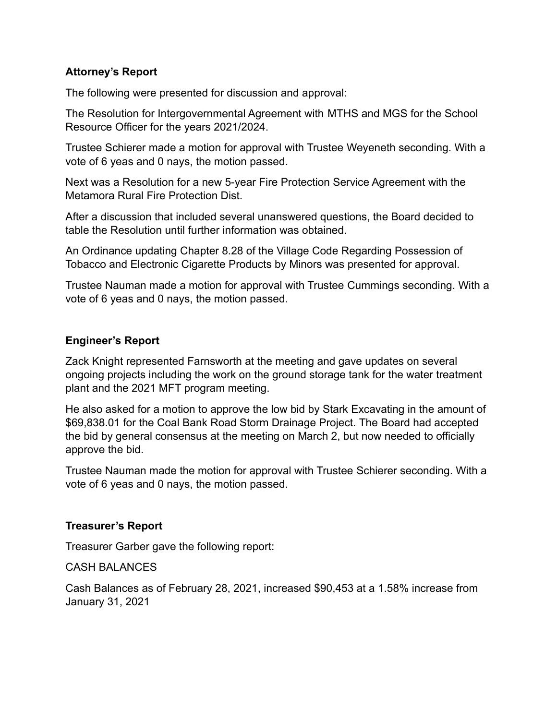## **Attorney's Report**

The following were presented for discussion and approval:

The Resolution for Intergovernmental Agreement with MTHS and MGS for the School Resource Officer for the years 2021/2024.

Trustee Schierer made a motion for approval with Trustee Weyeneth seconding. With a vote of 6 yeas and 0 nays, the motion passed.

Next was a Resolution for a new 5-year Fire Protection Service Agreement with the Metamora Rural Fire Protection Dist.

After a discussion that included several unanswered questions, the Board decided to table the Resolution until further information was obtained.

An Ordinance updating Chapter 8.28 of the Village Code Regarding Possession of Tobacco and Electronic Cigarette Products by Minors was presented for approval.

Trustee Nauman made a motion for approval with Trustee Cummings seconding. With a vote of 6 yeas and 0 nays, the motion passed.

## **Engineer's Report**

Zack Knight represented Farnsworth at the meeting and gave updates on several ongoing projects including the work on the ground storage tank for the water treatment plant and the 2021 MFT program meeting.

He also asked for a motion to approve the low bid by Stark Excavating in the amount of \$69,838.01 for the Coal Bank Road Storm Drainage Project. The Board had accepted the bid by general consensus at the meeting on March 2, but now needed to officially approve the bid.

Trustee Nauman made the motion for approval with Trustee Schierer seconding. With a vote of 6 yeas and 0 nays, the motion passed.

#### **Treasurer's Report**

Treasurer Garber gave the following report:

#### CASH BALANCES

Cash Balances as of February 28, 2021, increased \$90,453 at a 1.58% increase from January 31, 2021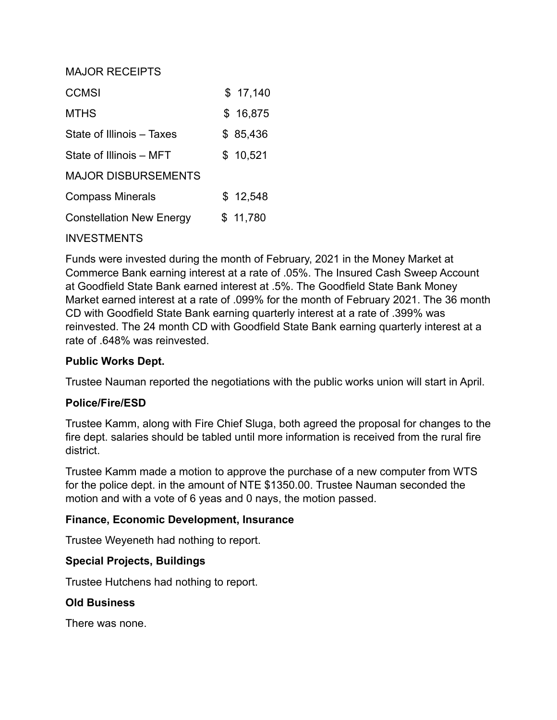MAJOR RECEIPTS

| <b>CCMSI</b>                    | \$17,140 |
|---------------------------------|----------|
| <b>MTHS</b>                     | \$16,875 |
| State of Illinois - Taxes       | \$85,436 |
| State of Illinois - MFT         | \$10,521 |
| <b>MAJOR DISBURSEMENTS</b>      |          |
| <b>Compass Minerals</b>         | \$12,548 |
| <b>Constellation New Energy</b> | \$11,780 |
| <b>INVESTMENTS</b>              |          |

Funds were invested during the month of February, 2021 in the Money Market at Commerce Bank earning interest at a rate of .05%. The Insured Cash Sweep Account at Goodfield State Bank earned interest at .5%. The Goodfield State Bank Money Market earned interest at a rate of .099% for the month of February 2021. The 36 month CD with Goodfield State Bank earning quarterly interest at a rate of .399% was reinvested. The 24 month CD with Goodfield State Bank earning quarterly interest at a rate of .648% was reinvested.

#### **Public Works Dept.**

Trustee Nauman reported the negotiations with the public works union will start in April.

#### **Police/Fire/ESD**

Trustee Kamm, along with Fire Chief Sluga, both agreed the proposal for changes to the fire dept. salaries should be tabled until more information is received from the rural fire district.

Trustee Kamm made a motion to approve the purchase of a new computer from WTS for the police dept. in the amount of NTE \$1350.00. Trustee Nauman seconded the motion and with a vote of 6 yeas and 0 nays, the motion passed.

#### **Finance, Economic Development, Insurance**

Trustee Weyeneth had nothing to report.

#### **Special Projects, Buildings**

Trustee Hutchens had nothing to report.

#### **Old Business**

There was none.